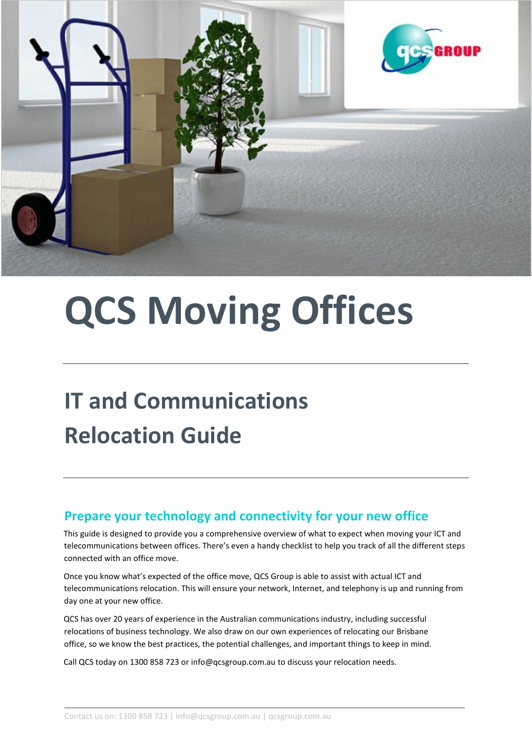

# **QCS Moving Offices**

# **IT and Communications Relocation Guide**

#### **Prepare your technology and connectivity for your new office**

This guide is designed to provide you a comprehensive overview of what to expect when moving your ICT and telecommunications between offices. There's even a handy checklist to help you track of all the different steps connected with an office move.

Once you know what's expected of the office move, QCS Group is able to assist with actual ICT and telecommunications relocation. This will ensure your network, Internet, and telephony is up and running from day one at your new office.

QCS has over 20 years of experience in the Australian communications industry, including successful relocations of business technology. We also draw on our own experiences of relocating our Brisbane office, so we know the best practices, the potential challenges, and important things to keep in mind.

Call QCS today on 1300 858 723 or info@qcsgroup.com.au to discuss your relocation needs.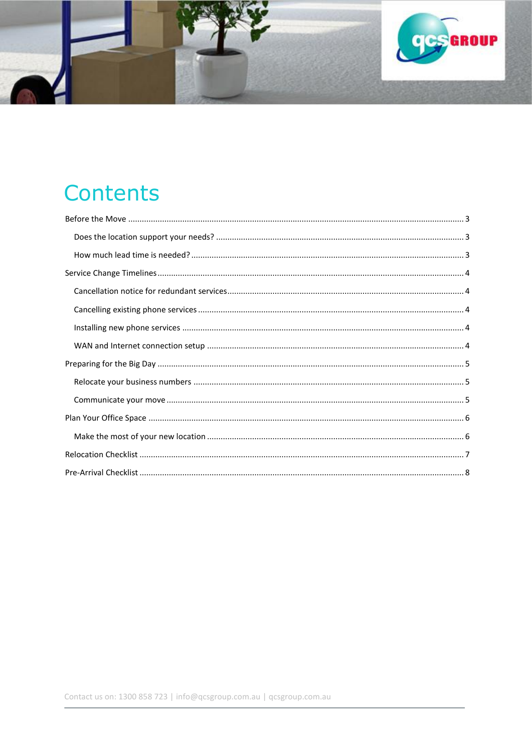

## **Contents**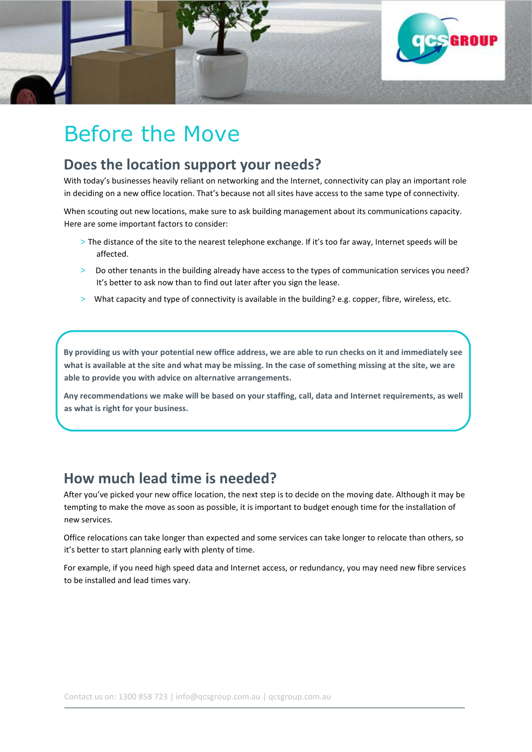

### <span id="page-2-0"></span>Before the Move

#### <span id="page-2-1"></span>**Does the location support your needs?**

With today's businesses heavily reliant on networking and the Internet, connectivity can play an important role in deciding on a new office location. That's because not all sites have access to the same type of connectivity.

When scouting out new locations, make sure to ask building management about its communications capacity. Here are some important factors to consider:

- > The distance of the site to the nearest telephone exchange. If it's too far away, Internet speeds will be affected.
- > Do other tenants in the building already have access to the types of communication services you need? It's better to ask now than to find out later after you sign the lease.
- > What capacity and type of connectivity is available in the building? e.g. copper, fibre, wireless, etc.

**By providing us with your potential new office address, we are able to run checks on it and immediately see what is available at the site and what may be missing. In the case of something missing at the site, we are able to provide you with advice on alternative arrangements.** 

**Any recommendations we make will be based on your staffing, call, data and Internet requirements, as well as what is right for your business.** 

#### <span id="page-2-2"></span>**How much lead time is needed?**

After you've picked your new office location, the next step is to decide on the moving date. Although it may be tempting to make the move as soon as possible, it is important to budget enough time for the installation of new services.

Office relocations can take longer than expected and some services can take longer to relocate than others, so it's better to start planning early with plenty of time.

<span id="page-2-3"></span>For example, if you need high speed data and Internet access, or redundancy, you may need new fibre services to be installed and lead times vary.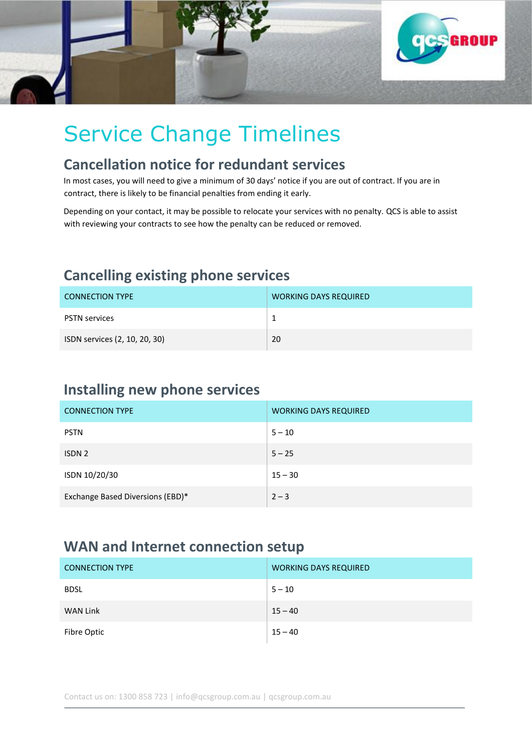

# Service Change Timelines

#### <span id="page-3-0"></span>**Cancellation notice for redundant services**

In most cases, you will need to give a minimum of 30 days' notice if you are out of contract. If you are in contract, there is likely to be financial penalties from ending it early.

Depending on your contact, it may be possible to relocate your services with no penalty. QCS is able to assist with reviewing your contracts to see how the penalty can be reduced or removed.

#### <span id="page-3-1"></span>**Cancelling existing phone services**

| <b>CONNECTION TYPE</b>        | <b>WORKING DAYS REQUIRED</b> |
|-------------------------------|------------------------------|
| <b>PSTN services</b>          |                              |
| ISDN services (2, 10, 20, 30) | 20                           |

#### <span id="page-3-2"></span>**Installing new phone services**

| <b>CONNECTION TYPE</b>           | <b>WORKING DAYS REQUIRED</b> |
|----------------------------------|------------------------------|
| <b>PSTN</b>                      | $5 - 10$                     |
| ISDN <sub>2</sub>                | $5 - 25$                     |
| ISDN 10/20/30                    | $15 - 30$                    |
| Exchange Based Diversions (EBD)* | $2 - 3$                      |

#### <span id="page-3-3"></span>**WAN and Internet connection setup**

| <b>CONNECTION TYPE</b> | <b>WORKING DAYS REQUIRED</b> |
|------------------------|------------------------------|
| <b>BDSL</b>            | $5 - 10$                     |
| <b>WAN Link</b>        | $15 - 40$                    |
| Fibre Optic            | $15 - 40$                    |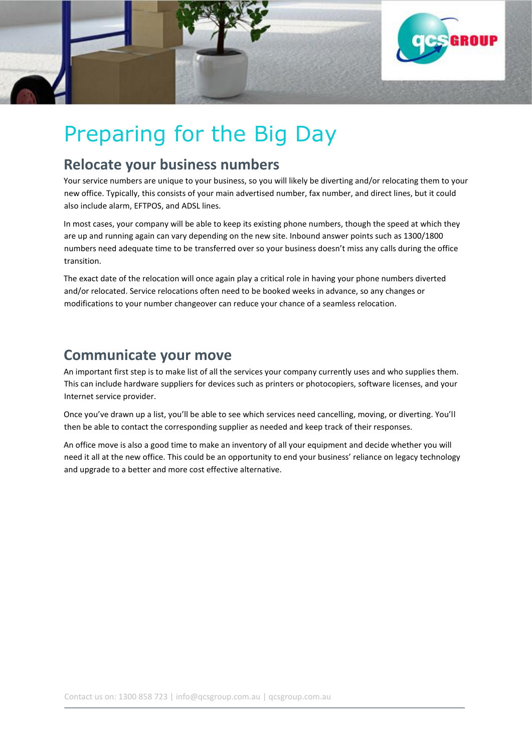

# <span id="page-4-0"></span>Preparing for the Big Day

#### <span id="page-4-1"></span>**Relocate your business numbers**

Your service numbers are unique to your business, so you will likely be diverting and/or relocating them to your new office. Typically, this consists of your main advertised number, fax number, and direct lines, but it could also include alarm, EFTPOS, and ADSL lines.

In most cases, your company will be able to keep its existing phone numbers, though the speed at which they are up and running again can vary depending on the new site. Inbound answer points such as 1300/1800 numbers need adequate time to be transferred over so your business doesn't miss any calls during the office transition.

The exact date of the relocation will once again play a critical role in having your phone numbers diverted and/or relocated. Service relocations often need to be booked weeks in advance, so any changes or modifications to your number changeover can reduce your chance of a seamless relocation.

#### <span id="page-4-2"></span>**Communicate your move**

An important first step is to make list of all the services your company currently uses and who supplies them. This can include hardware suppliers for devices such as printers or photocopiers, software licenses, and your Internet service provider.

Once you've drawn up a list, you'll be able to see which services need cancelling, moving, or diverting. You'll then be able to contact the corresponding supplier as needed and keep track of their responses.

<span id="page-4-3"></span>An office move is also a good time to make an inventory of all your equipment and decide whether you will need it all at the new office. This could be an opportunity to end your business' reliance on legacy technology and upgrade to a better and more cost effective alternative.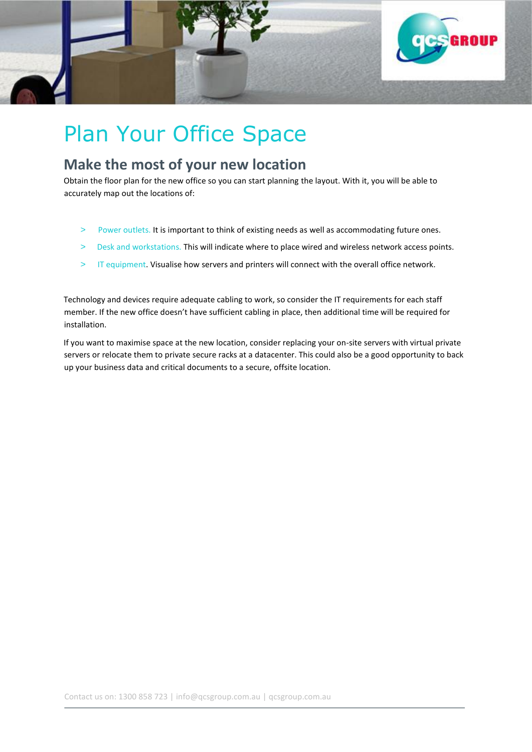

# Plan Your Office Space

#### <span id="page-5-0"></span>**Make the most of your new location**

Obtain the floor plan for the new office so you can start planning the layout. With it, you will be able to accurately map out the locations of:

- > Power outlets. It is important to think of existing needs as well as accommodating future ones.
- > Desk and workstations. This will indicate where to place wired and wireless network access points.
- > IT equipment. Visualise how servers and printers will connect with the overall office network.

Technology and devices require adequate cabling to work, so consider the IT requirements for each staff member. If the new office doesn't have sufficient cabling in place, then additional time will be required for installation.

<span id="page-5-1"></span>If you want to maximise space at the new location, consider replacing your on-site servers with virtual private servers or relocate them to private secure racks at a datacenter. This could also be a good opportunity to back up your business data and critical documents to a secure, offsite location.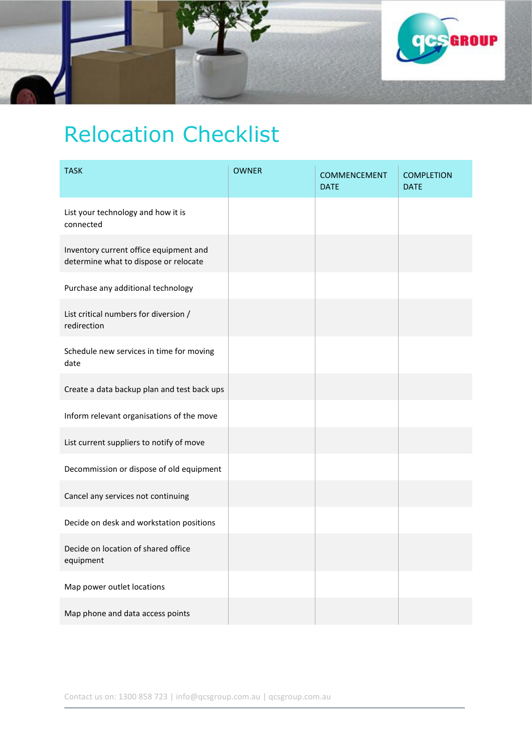

# Relocation Checklist

<span id="page-6-0"></span>

| <b>TASK</b>                                                                     | <b>OWNER</b> | <b>COMMENCEMENT</b><br><b>DATE</b> | <b>COMPLETION</b><br><b>DATE</b> |
|---------------------------------------------------------------------------------|--------------|------------------------------------|----------------------------------|
| List your technology and how it is<br>connected                                 |              |                                    |                                  |
| Inventory current office equipment and<br>determine what to dispose or relocate |              |                                    |                                  |
| Purchase any additional technology                                              |              |                                    |                                  |
| List critical numbers for diversion /<br>redirection                            |              |                                    |                                  |
| Schedule new services in time for moving<br>date                                |              |                                    |                                  |
| Create a data backup plan and test back ups                                     |              |                                    |                                  |
| Inform relevant organisations of the move                                       |              |                                    |                                  |
| List current suppliers to notify of move                                        |              |                                    |                                  |
| Decommission or dispose of old equipment                                        |              |                                    |                                  |
| Cancel any services not continuing                                              |              |                                    |                                  |
| Decide on desk and workstation positions                                        |              |                                    |                                  |
| Decide on location of shared office<br>equipment                                |              |                                    |                                  |
| Map power outlet locations                                                      |              |                                    |                                  |
| Map phone and data access points                                                |              |                                    |                                  |